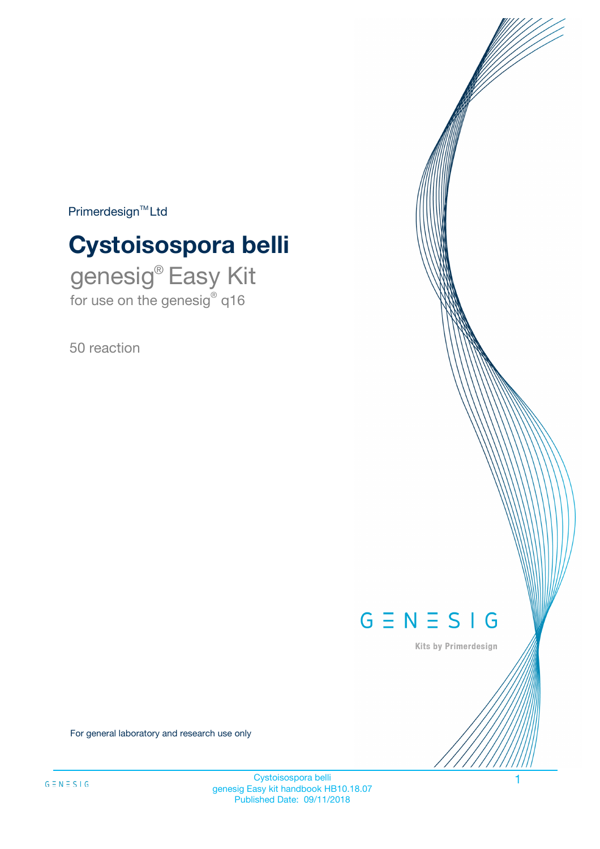$Primerdesign^{\text{TM}}Ltd$ 

# **Cystoisospora belli**

genesig® Easy Kit for use on the genesig® q16

50 reaction



Kits by Primerdesign

For general laboratory and research use only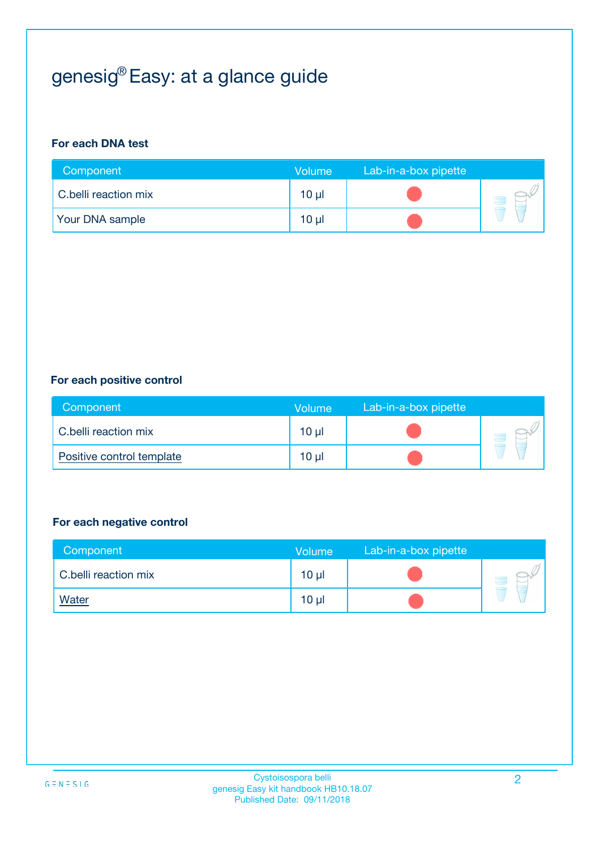# genesig® Easy: at a glance guide

#### **For each DNA test**

| Component              | <b>Volume</b> | Lab-in-a-box pipette |  |
|------------------------|---------------|----------------------|--|
| C.belli reaction mix   | 10 µl         |                      |  |
| <b>Your DNA sample</b> | $10 \mu$      |                      |  |

#### **For each positive control**

| Component                 | Volume          | Lab-in-a-box pipette |  |
|---------------------------|-----------------|----------------------|--|
| C.belli reaction mix      | 10 <sub>µ</sub> |                      |  |
| Positive control template | 10 <sub>µ</sub> |                      |  |

#### **For each negative control**

| Component            | Volume          | Lab-in-a-box pipette |  |
|----------------------|-----------------|----------------------|--|
| C.belli reaction mix | 10 <sub>µ</sub> |                      |  |
| <b>Water</b>         | 10 <sub>µ</sub> |                      |  |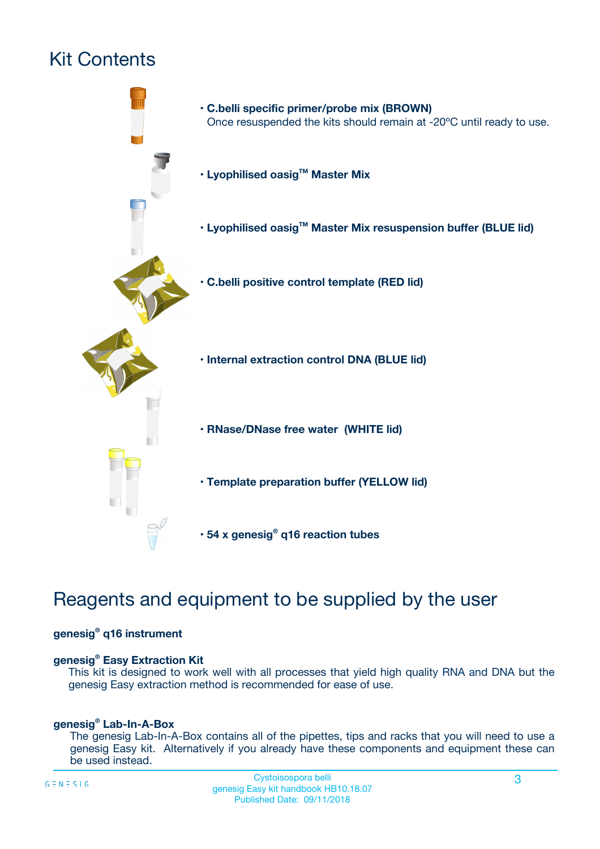# Kit Contents



## Reagents and equipment to be supplied by the user

#### **genesig® q16 instrument**

#### **genesig® Easy Extraction Kit**

This kit is designed to work well with all processes that yield high quality RNA and DNA but the genesig Easy extraction method is recommended for ease of use.

#### **genesig® Lab-In-A-Box**

The genesig Lab-In-A-Box contains all of the pipettes, tips and racks that you will need to use a genesig Easy kit. Alternatively if you already have these components and equipment these can be used instead.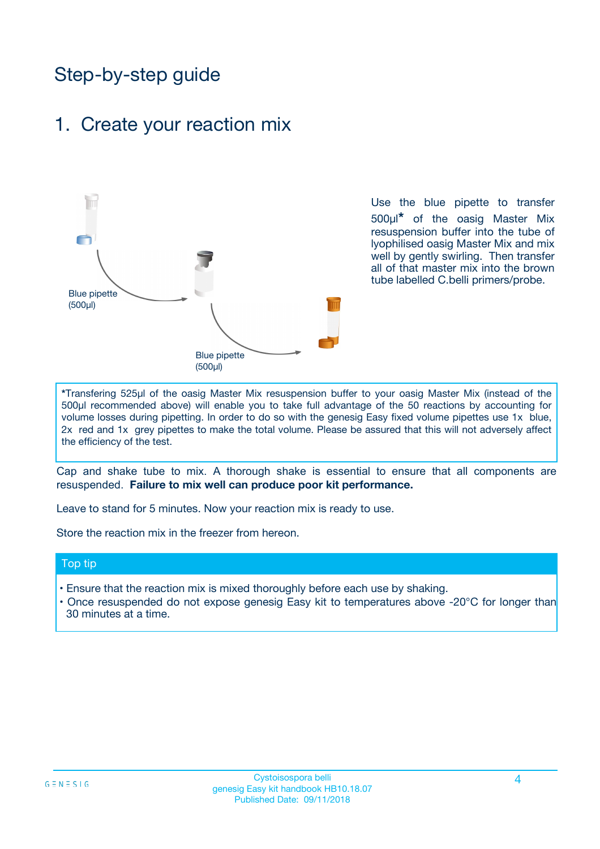## Step-by-step guide

## 1. Create your reaction mix

![](_page_3_Figure_2.jpeg)

Use the blue pipette to transfer 500µl**\*** of the oasig Master Mix resuspension buffer into the tube of lyophilised oasig Master Mix and mix well by gently swirling. Then transfer all of that master mix into the brown tube labelled C.belli primers/probe.

**\***Transfering 525µl of the oasig Master Mix resuspension buffer to your oasig Master Mix (instead of the 500µl recommended above) will enable you to take full advantage of the 50 reactions by accounting for volume losses during pipetting. In order to do so with the genesig Easy fixed volume pipettes use 1x blue, 2x red and 1x grey pipettes to make the total volume. Please be assured that this will not adversely affect the efficiency of the test.

Cap and shake tube to mix. A thorough shake is essential to ensure that all components are resuspended. **Failure to mix well can produce poor kit performance.**

Leave to stand for 5 minutes. Now your reaction mix is ready to use.

Store the reaction mix in the freezer from hereon.

#### Top tip

- Ensure that the reaction mix is mixed thoroughly before each use by shaking.
- **•** Once resuspended do not expose genesig Easy kit to temperatures above -20°C for longer than 30 minutes at a time.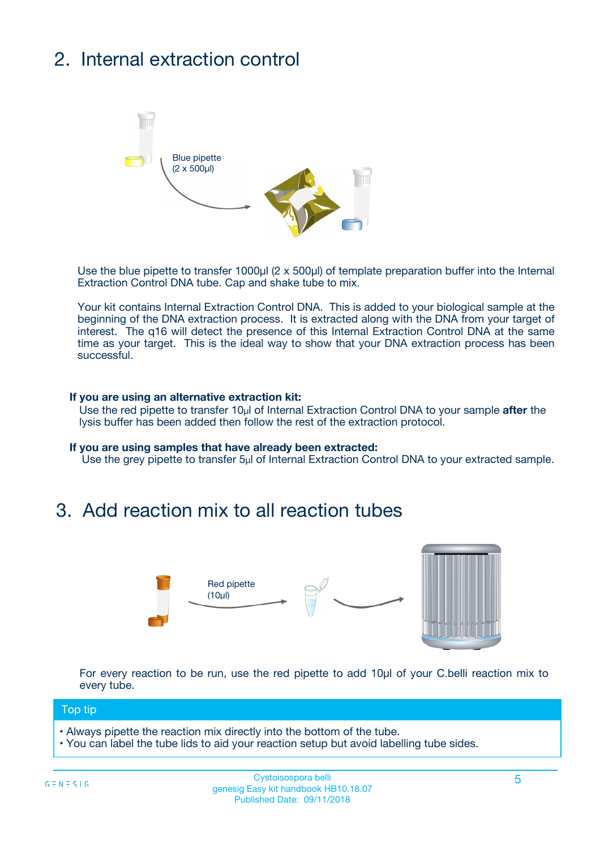# 2. Internal extraction control

![](_page_4_Figure_1.jpeg)

Use the blue pipette to transfer 1000µl (2 x 500µl) of template preparation buffer into the Internal Extraction Control DNA tube. Cap and shake tube to mix.

Your kit contains Internal Extraction Control DNA. This is added to your biological sample at the beginning of the DNA extraction process. It is extracted along with the DNA from your target of interest. The q16 will detect the presence of this Internal Extraction Control DNA at the same time as your target. This is the ideal way to show that your DNA extraction process has been **successful.** 

#### **If you are using an alternative extraction kit:**

Use the red pipette to transfer 10µl of Internal Extraction Control DNA to your sample **after** the lysis buffer has been added then follow the rest of the extraction protocol.

#### **If you are using samples that have already been extracted:**

Use the grey pipette to transfer 5µl of Internal Extraction Control DNA to your extracted sample.

## 3. Add reaction mix to all reaction tubes

![](_page_4_Figure_9.jpeg)

For every reaction to be run, use the red pipette to add 10µl of your C.belli reaction mix to every tube.

#### Top tip

- Always pipette the reaction mix directly into the bottom of the tube.
- You can label the tube lids to aid your reaction setup but avoid labelling tube sides.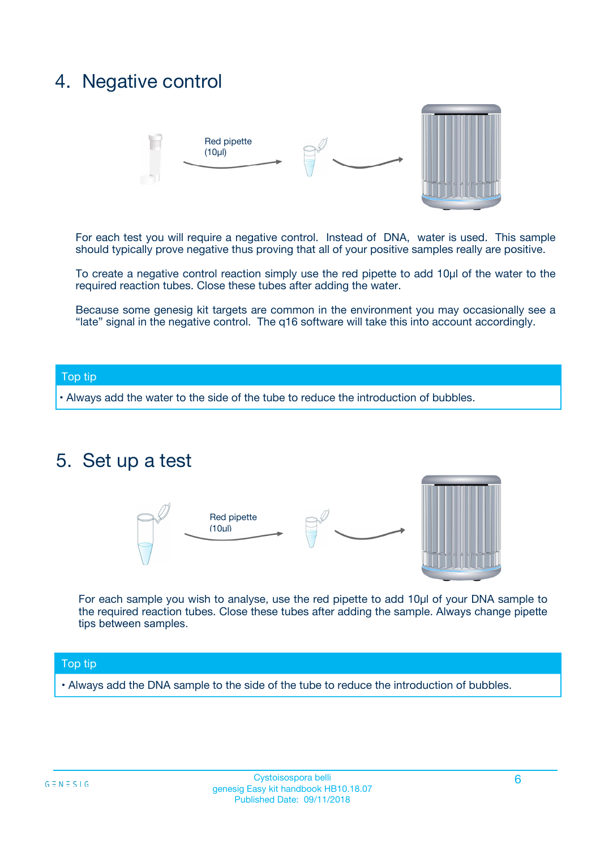## 4. Negative control

![](_page_5_Figure_1.jpeg)

For each test you will require a negative control. Instead of DNA, water is used. This sample should typically prove negative thus proving that all of your positive samples really are positive.

To create a negative control reaction simply use the red pipette to add 10µl of the water to the required reaction tubes. Close these tubes after adding the water.

Because some genesig kit targets are common in the environment you may occasionally see a "late" signal in the negative control. The q16 software will take this into account accordingly.

#### Top tip

**•** Always add the water to the side of the tube to reduce the introduction of bubbles.

### 5. Set up a test

![](_page_5_Figure_8.jpeg)

For each sample you wish to analyse, use the red pipette to add 10µl of your DNA sample to the required reaction tubes. Close these tubes after adding the sample. Always change pipette tips between samples.

#### Top tip

**•** Always add the DNA sample to the side of the tube to reduce the introduction of bubbles.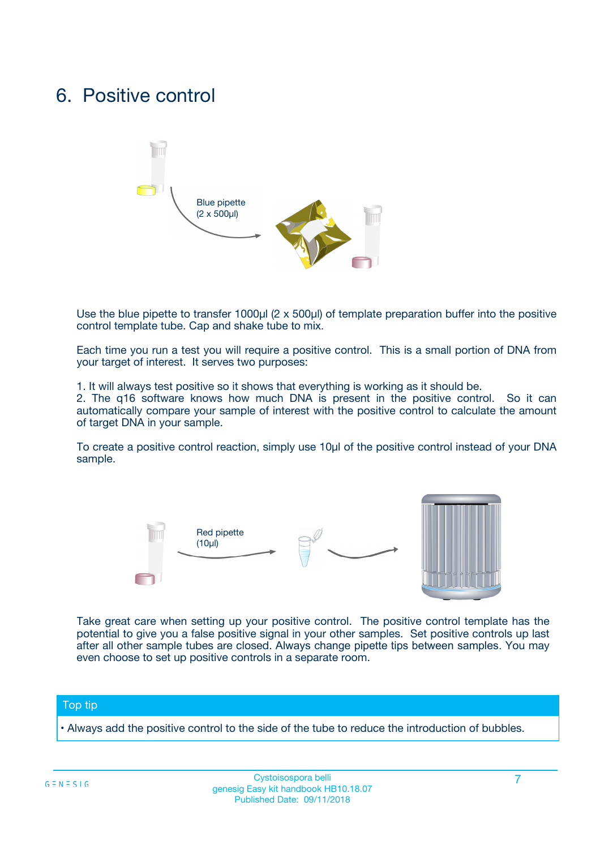## 6. Positive control

![](_page_6_Figure_1.jpeg)

Use the blue pipette to transfer 1000µl (2 x 500µl) of template preparation buffer into the positive control template tube. Cap and shake tube to mix.

Each time you run a test you will require a positive control. This is a small portion of DNA from your target of interest. It serves two purposes:

1. It will always test positive so it shows that everything is working as it should be.

2. The q16 software knows how much DNA is present in the positive control. So it can automatically compare your sample of interest with the positive control to calculate the amount of target DNA in your sample.

To create a positive control reaction, simply use 10µl of the positive control instead of your DNA sample.

![](_page_6_Figure_7.jpeg)

Take great care when setting up your positive control. The positive control template has the potential to give you a false positive signal in your other samples. Set positive controls up last after all other sample tubes are closed. Always change pipette tips between samples. You may even choose to set up positive controls in a separate room.

#### Top tip

**•** Always add the positive control to the side of the tube to reduce the introduction of bubbles.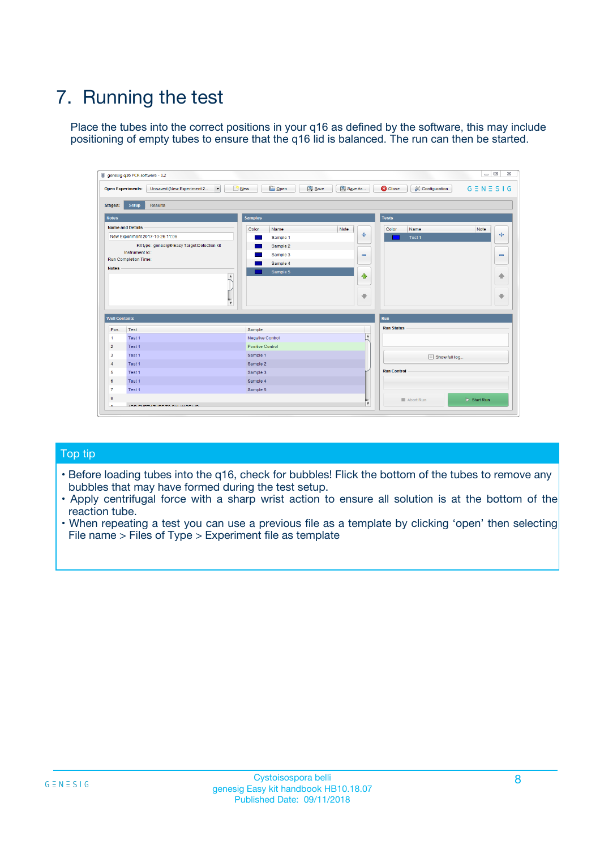# 7. Running the test

Place the tubes into the correct positions in your q16 as defined by the software, this may include positioning of empty tubes to ensure that the q16 lid is balanced. The run can then be started.

| genesig q16 PCR software - 1.2                                               |                                     | $\Box$                                                                                  |
|------------------------------------------------------------------------------|-------------------------------------|-----------------------------------------------------------------------------------------|
| Unsaved (New Experiment 2<br>$\vert \cdot \vert$<br><b>Open Experiments:</b> | <b>D</b> Open<br>Save<br>$\Box$ New | Save As<br><b>C</b> Close<br>$G \equiv N \equiv S \mid G$<br><b>&amp; Configuration</b> |
| Setup<br><b>Results</b><br><b>Stages:</b>                                    |                                     |                                                                                         |
| <b>Notes</b>                                                                 | Samples                             | <b>Tests</b>                                                                            |
| <b>Name and Details</b>                                                      | Color<br>Name                       | Note<br>Color<br>Note<br>Name                                                           |
| New Experiment 2017-10-26 11:06                                              | Sample 1                            | ع<br>条<br>Test 1                                                                        |
| Kit type: genesig® Easy Target Detection kit                                 | Sample 2                            |                                                                                         |
| Instrument Id.:                                                              | Sample 3                            | $\qquad \qquad \blacksquare$<br>$\qquad \qquad \blacksquare$                            |
| Run Completion Time:                                                         | Sample 4                            |                                                                                         |
| <b>Notes</b>                                                                 | Sample 5<br>A<br>v                  | $\triangle$<br>4<br>$\oplus$<br>₩                                                       |
| <b>Well Contents</b>                                                         |                                     | <b>Run</b>                                                                              |
| Pos.<br>Test                                                                 | Sample                              | <b>Run Status</b>                                                                       |
| Test 1<br>-1                                                                 | <b>Negative Control</b>             | $\blacktriangle$                                                                        |
| $\overline{2}$<br>Test 1                                                     | <b>Positive Control</b>             |                                                                                         |
| $\overline{\mathbf{3}}$<br>Test 1                                            | Sample 1                            | Show full log                                                                           |
| Test 1<br>$\overline{4}$                                                     | Sample 2                            |                                                                                         |
| 5<br>Test 1                                                                  | Sample 3                            | <b>Run Control</b>                                                                      |
| 6<br>Test 1                                                                  | Sample 4                            |                                                                                         |
| $\overline{7}$<br>Test 1                                                     | Sample 5                            |                                                                                         |
| 8                                                                            |                                     | $\triangleright$ Start Run<br>Abort Run                                                 |
| <b>JOD FURTY TUDE TO BUILDED IN</b>                                          |                                     | $\overline{\mathbf{v}}$                                                                 |

#### Top tip

- Before loading tubes into the q16, check for bubbles! Flick the bottom of the tubes to remove any bubbles that may have formed during the test setup.
- Apply centrifugal force with a sharp wrist action to ensure all solution is at the bottom of the reaction tube.
- When repeating a test you can use a previous file as a template by clicking 'open' then selecting File name > Files of Type > Experiment file as template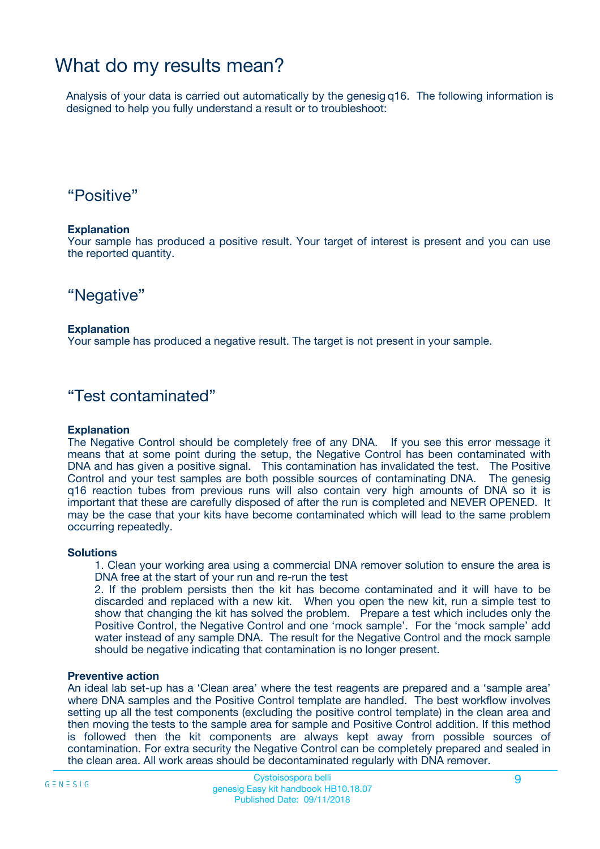## What do my results mean?

Analysis of your data is carried out automatically by the genesig q16. The following information is designed to help you fully understand a result or to troubleshoot:

### "Positive"

#### **Explanation**

Your sample has produced a positive result. Your target of interest is present and you can use the reported quantity.

"Negative"

#### **Explanation**

Your sample has produced a negative result. The target is not present in your sample.

### "Test contaminated"

#### **Explanation**

The Negative Control should be completely free of any DNA. If you see this error message it means that at some point during the setup, the Negative Control has been contaminated with DNA and has given a positive signal. This contamination has invalidated the test. The Positive Control and your test samples are both possible sources of contaminating DNA. The genesig q16 reaction tubes from previous runs will also contain very high amounts of DNA so it is important that these are carefully disposed of after the run is completed and NEVER OPENED. It may be the case that your kits have become contaminated which will lead to the same problem occurring repeatedly.

#### **Solutions**

1. Clean your working area using a commercial DNA remover solution to ensure the area is DNA free at the start of your run and re-run the test

2. If the problem persists then the kit has become contaminated and it will have to be discarded and replaced with a new kit. When you open the new kit, run a simple test to show that changing the kit has solved the problem. Prepare a test which includes only the Positive Control, the Negative Control and one 'mock sample'. For the 'mock sample' add water instead of any sample DNA. The result for the Negative Control and the mock sample should be negative indicating that contamination is no longer present.

#### **Preventive action**

An ideal lab set-up has a 'Clean area' where the test reagents are prepared and a 'sample area' where DNA samples and the Positive Control template are handled. The best workflow involves setting up all the test components (excluding the positive control template) in the clean area and then moving the tests to the sample area for sample and Positive Control addition. If this method is followed then the kit components are always kept away from possible sources of contamination. For extra security the Negative Control can be completely prepared and sealed in the clean area. All work areas should be decontaminated regularly with DNA remover.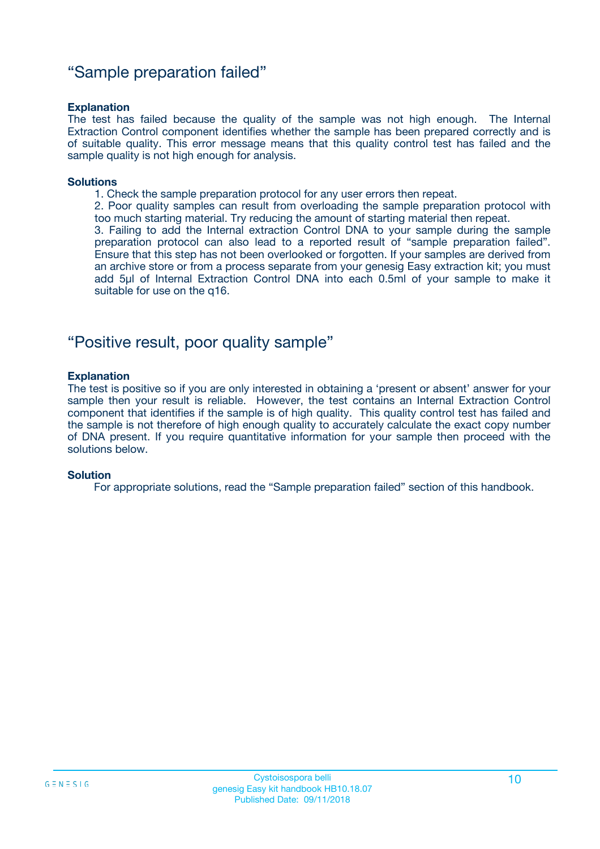### "Sample preparation failed"

#### **Explanation**

The test has failed because the quality of the sample was not high enough. The Internal Extraction Control component identifies whether the sample has been prepared correctly and is of suitable quality. This error message means that this quality control test has failed and the sample quality is not high enough for analysis.

#### **Solutions**

1. Check the sample preparation protocol for any user errors then repeat.

2. Poor quality samples can result from overloading the sample preparation protocol with too much starting material. Try reducing the amount of starting material then repeat.

3. Failing to add the Internal extraction Control DNA to your sample during the sample preparation protocol can also lead to a reported result of "sample preparation failed". Ensure that this step has not been overlooked or forgotten. If your samples are derived from an archive store or from a process separate from your genesig Easy extraction kit; you must add 5µl of Internal Extraction Control DNA into each 0.5ml of your sample to make it suitable for use on the q16.

### "Positive result, poor quality sample"

#### **Explanation**

The test is positive so if you are only interested in obtaining a 'present or absent' answer for your sample then your result is reliable. However, the test contains an Internal Extraction Control component that identifies if the sample is of high quality. This quality control test has failed and the sample is not therefore of high enough quality to accurately calculate the exact copy number of DNA present. If you require quantitative information for your sample then proceed with the solutions below.

#### **Solution**

For appropriate solutions, read the "Sample preparation failed" section of this handbook.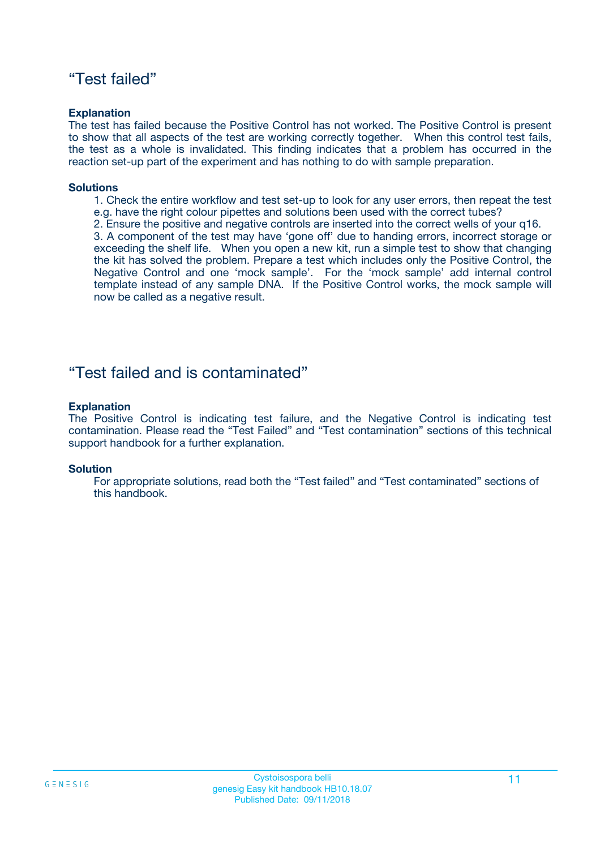### "Test failed"

#### **Explanation**

The test has failed because the Positive Control has not worked. The Positive Control is present to show that all aspects of the test are working correctly together. When this control test fails, the test as a whole is invalidated. This finding indicates that a problem has occurred in the reaction set-up part of the experiment and has nothing to do with sample preparation.

#### **Solutions**

- 1. Check the entire workflow and test set-up to look for any user errors, then repeat the test e.g. have the right colour pipettes and solutions been used with the correct tubes?
- 2. Ensure the positive and negative controls are inserted into the correct wells of your q16.

3. A component of the test may have 'gone off' due to handing errors, incorrect storage or exceeding the shelf life. When you open a new kit, run a simple test to show that changing the kit has solved the problem. Prepare a test which includes only the Positive Control, the Negative Control and one 'mock sample'. For the 'mock sample' add internal control template instead of any sample DNA. If the Positive Control works, the mock sample will now be called as a negative result.

### "Test failed and is contaminated"

#### **Explanation**

The Positive Control is indicating test failure, and the Negative Control is indicating test contamination. Please read the "Test Failed" and "Test contamination" sections of this technical support handbook for a further explanation.

#### **Solution**

For appropriate solutions, read both the "Test failed" and "Test contaminated" sections of this handbook.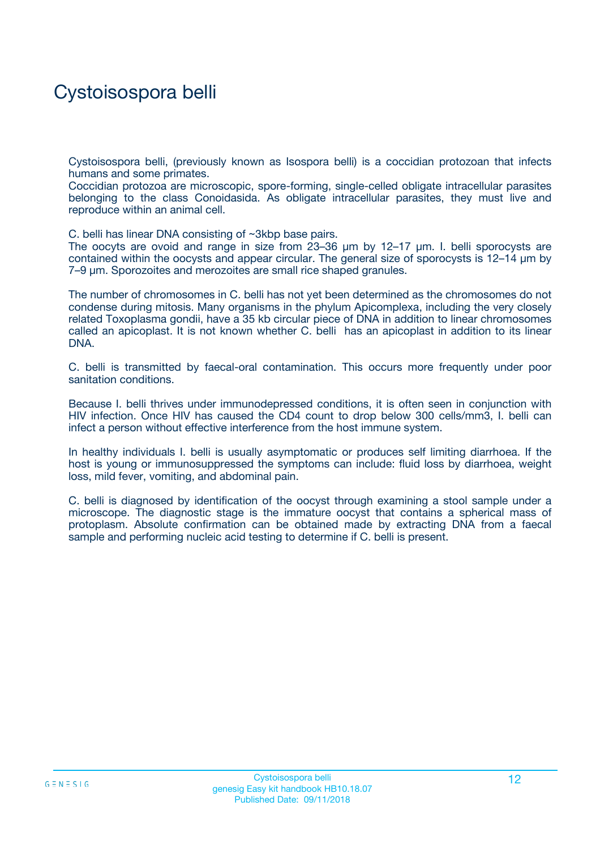## Cystoisospora belli

Cystoisospora belli, (previously known as Isospora belli) is a coccidian protozoan that infects humans and some primates.

Coccidian protozoa are microscopic, spore-forming, single-celled obligate intracellular parasites belonging to the class Conoidasida. As obligate intracellular parasites, they must live and reproduce within an animal cell.

C. belli has linear DNA consisting of ~3kbp base pairs.

The oocyts are ovoid and range in size from 23–36 µm by 12–17 µm. I. belli sporocysts are contained within the oocysts and appear circular. The general size of sporocysts is 12–14 µm by 7–9 µm. Sporozoites and merozoites are small rice shaped granules.

The number of chromosomes in C. belli has not yet been determined as the chromosomes do not condense during mitosis. Many organisms in the phylum Apicomplexa, including the very closely related Toxoplasma gondii, have a 35 kb circular piece of DNA in addition to linear chromosomes called an apicoplast. It is not known whether C. belli has an apicoplast in addition to its linear DNA.

C. belli is transmitted by faecal-oral contamination. This occurs more frequently under poor sanitation conditions.

Because I. belli thrives under immunodepressed conditions, it is often seen in conjunction with HIV infection. Once HIV has caused the CD4 count to drop below 300 cells/mm3, I. belli can infect a person without effective interference from the host immune system.

In healthy individuals I. belli is usually asymptomatic or produces self limiting diarrhoea. If the host is young or immunosuppressed the symptoms can include: fluid loss by diarrhoea, weight loss, mild fever, vomiting, and abdominal pain.

C. belli is diagnosed by identification of the oocyst through examining a stool sample under a microscope. The diagnostic stage is the immature oocyst that contains a spherical mass of protoplasm. Absolute confirmation can be obtained made by extracting DNA from a faecal sample and performing nucleic acid testing to determine if C. belli is present.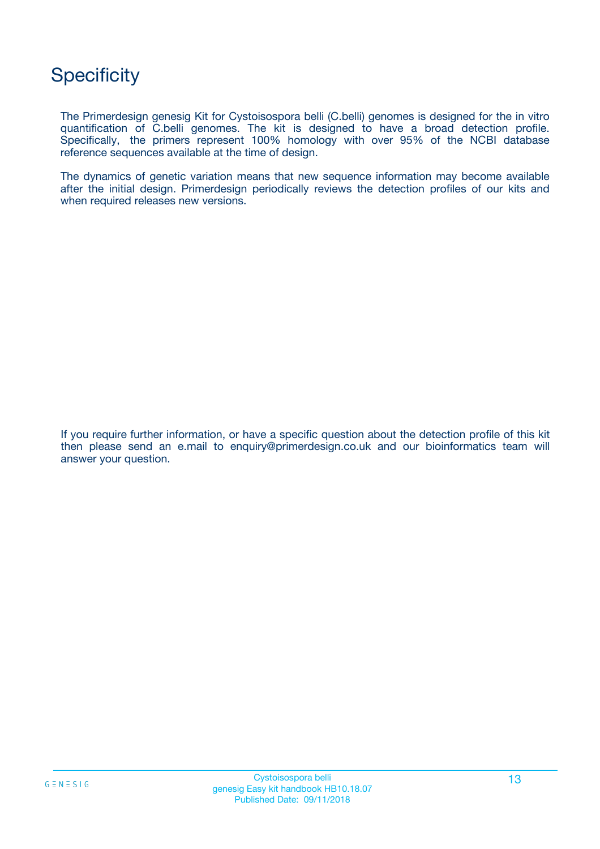## **Specificity**

The Primerdesign genesig Kit for Cystoisospora belli (C.belli) genomes is designed for the in vitro quantification of C.belli genomes. The kit is designed to have a broad detection profile. Specifically, the primers represent 100% homology with over 95% of the NCBI database reference sequences available at the time of design.

The dynamics of genetic variation means that new sequence information may become available after the initial design. Primerdesign periodically reviews the detection profiles of our kits and when required releases new versions.

If you require further information, or have a specific question about the detection profile of this kit then please send an e.mail to enquiry@primerdesign.co.uk and our bioinformatics team will answer your question.